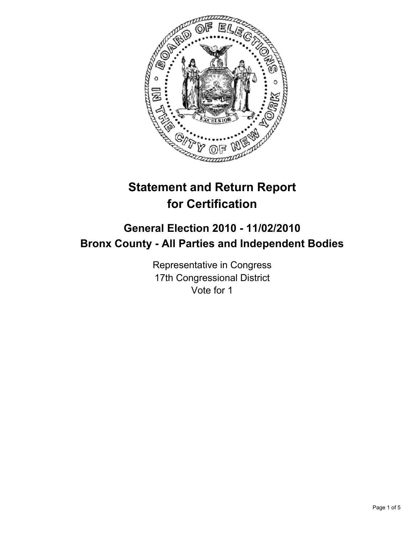

# **Statement and Return Report for Certification**

## **General Election 2010 - 11/02/2010 Bronx County - All Parties and Independent Bodies**

Representative in Congress 17th Congressional District Vote for 1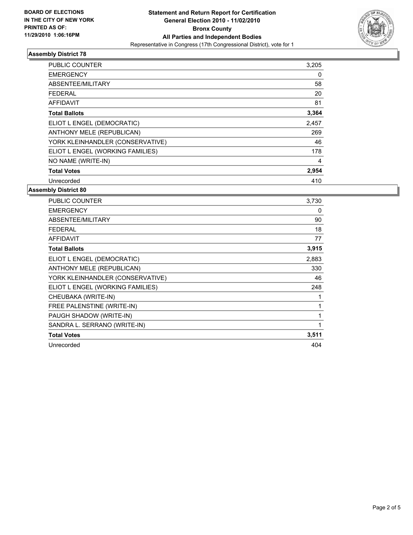

## **Assembly District 78**

| <b>PUBLIC COUNTER</b>            | 3,205 |
|----------------------------------|-------|
| <b>EMERGENCY</b>                 | 0     |
| ABSENTEE/MILITARY                | 58    |
| <b>FEDERAL</b>                   | 20    |
| <b>AFFIDAVIT</b>                 | 81    |
| <b>Total Ballots</b>             | 3,364 |
| ELIOT L ENGEL (DEMOCRATIC)       | 2,457 |
| ANTHONY MELE (REPUBLICAN)        | 269   |
| YORK KLEINHANDLER (CONSERVATIVE) | 46    |
| ELIOT L ENGEL (WORKING FAMILIES) | 178   |
| NO NAME (WRITE-IN)               | 4     |
| <b>Total Votes</b>               | 2,954 |
| Unrecorded                       | 410   |

### **Assembly District 80**

| <b>PUBLIC COUNTER</b>            | 3.730 |
|----------------------------------|-------|
| <b>EMERGENCY</b>                 | 0     |
| ABSENTEE/MILITARY                | 90    |
| <b>FEDERAL</b>                   | 18    |
| <b>AFFIDAVIT</b>                 | 77    |
| <b>Total Ballots</b>             | 3,915 |
| ELIOT L ENGEL (DEMOCRATIC)       | 2,883 |
| ANTHONY MELE (REPUBLICAN)        | 330   |
| YORK KLEINHANDLER (CONSERVATIVE) | 46    |
| ELIOT L ENGEL (WORKING FAMILIES) | 248   |
| CHEUBAKA (WRITE-IN)              | 1     |
| FREE PALENSTINE (WRITE-IN)       | 1     |
| PAUGH SHADOW (WRITE-IN)          | 1     |
| SANDRA L. SERRANO (WRITE-IN)     | 1     |
| <b>Total Votes</b>               | 3,511 |
| Unrecorded                       | 404   |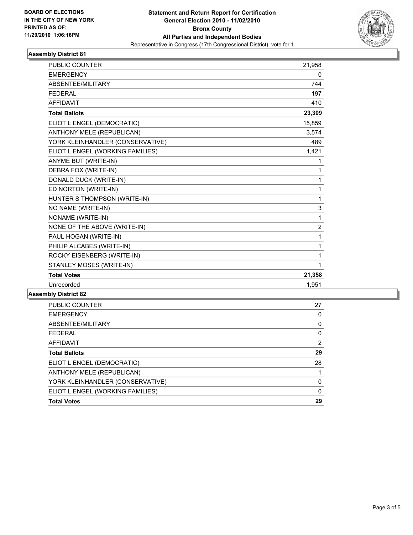

### **Assembly District 81**

| <b>EMERGENCY</b><br>0<br>ABSENTEE/MILITARY<br>744<br><b>FEDERAL</b><br>197<br><b>AFFIDAVIT</b><br>410<br>23,309<br><b>Total Ballots</b><br>ELIOT L ENGEL (DEMOCRATIC)<br>15,859<br><b>ANTHONY MELE (REPUBLICAN)</b><br>3,574<br>YORK KLEINHANDLER (CONSERVATIVE)<br>489<br>ELIOT L ENGEL (WORKING FAMILIES)<br>1,421<br>ANYME BUT (WRITE-IN)<br>1<br>DEBRA FOX (WRITE-IN)<br>1<br>DONALD DUCK (WRITE-IN)<br>1<br>ED NORTON (WRITE-IN)<br>1<br>HUNTER S THOMPSON (WRITE-IN)<br>1<br>NO NAME (WRITE-IN)<br>3<br>NONAME (WRITE-IN)<br>1<br>NONE OF THE ABOVE (WRITE-IN)<br>$\overline{2}$<br>PAUL HOGAN (WRITE-IN)<br>1<br>PHILIP ALCABES (WRITE-IN)<br>1<br>ROCKY EISENBERG (WRITE-IN)<br>1<br>STANLEY MOSES (WRITE-IN)<br>1<br>21,358<br><b>Total Votes</b><br>Unrecorded<br>1,951 | <b>PUBLIC COUNTER</b> | 21,958 |
|-----------------------------------------------------------------------------------------------------------------------------------------------------------------------------------------------------------------------------------------------------------------------------------------------------------------------------------------------------------------------------------------------------------------------------------------------------------------------------------------------------------------------------------------------------------------------------------------------------------------------------------------------------------------------------------------------------------------------------------------------------------------------------------|-----------------------|--------|
|                                                                                                                                                                                                                                                                                                                                                                                                                                                                                                                                                                                                                                                                                                                                                                                   |                       |        |
|                                                                                                                                                                                                                                                                                                                                                                                                                                                                                                                                                                                                                                                                                                                                                                                   |                       |        |
|                                                                                                                                                                                                                                                                                                                                                                                                                                                                                                                                                                                                                                                                                                                                                                                   |                       |        |
|                                                                                                                                                                                                                                                                                                                                                                                                                                                                                                                                                                                                                                                                                                                                                                                   |                       |        |
|                                                                                                                                                                                                                                                                                                                                                                                                                                                                                                                                                                                                                                                                                                                                                                                   |                       |        |
|                                                                                                                                                                                                                                                                                                                                                                                                                                                                                                                                                                                                                                                                                                                                                                                   |                       |        |
|                                                                                                                                                                                                                                                                                                                                                                                                                                                                                                                                                                                                                                                                                                                                                                                   |                       |        |
|                                                                                                                                                                                                                                                                                                                                                                                                                                                                                                                                                                                                                                                                                                                                                                                   |                       |        |
|                                                                                                                                                                                                                                                                                                                                                                                                                                                                                                                                                                                                                                                                                                                                                                                   |                       |        |
|                                                                                                                                                                                                                                                                                                                                                                                                                                                                                                                                                                                                                                                                                                                                                                                   |                       |        |
|                                                                                                                                                                                                                                                                                                                                                                                                                                                                                                                                                                                                                                                                                                                                                                                   |                       |        |
|                                                                                                                                                                                                                                                                                                                                                                                                                                                                                                                                                                                                                                                                                                                                                                                   |                       |        |
|                                                                                                                                                                                                                                                                                                                                                                                                                                                                                                                                                                                                                                                                                                                                                                                   |                       |        |
|                                                                                                                                                                                                                                                                                                                                                                                                                                                                                                                                                                                                                                                                                                                                                                                   |                       |        |
|                                                                                                                                                                                                                                                                                                                                                                                                                                                                                                                                                                                                                                                                                                                                                                                   |                       |        |
|                                                                                                                                                                                                                                                                                                                                                                                                                                                                                                                                                                                                                                                                                                                                                                                   |                       |        |
|                                                                                                                                                                                                                                                                                                                                                                                                                                                                                                                                                                                                                                                                                                                                                                                   |                       |        |
|                                                                                                                                                                                                                                                                                                                                                                                                                                                                                                                                                                                                                                                                                                                                                                                   |                       |        |
|                                                                                                                                                                                                                                                                                                                                                                                                                                                                                                                                                                                                                                                                                                                                                                                   |                       |        |
|                                                                                                                                                                                                                                                                                                                                                                                                                                                                                                                                                                                                                                                                                                                                                                                   |                       |        |
|                                                                                                                                                                                                                                                                                                                                                                                                                                                                                                                                                                                                                                                                                                                                                                                   |                       |        |
|                                                                                                                                                                                                                                                                                                                                                                                                                                                                                                                                                                                                                                                                                                                                                                                   |                       |        |
|                                                                                                                                                                                                                                                                                                                                                                                                                                                                                                                                                                                                                                                                                                                                                                                   |                       |        |

#### **Assembly District 82**

| <b>Total Votes</b>               | 29 |
|----------------------------------|----|
| ELIOT L ENGEL (WORKING FAMILIES) | 0  |
| YORK KLEINHANDLER (CONSERVATIVE) | 0  |
| ANTHONY MELE (REPUBLICAN)        |    |
| ELIOT L ENGEL (DEMOCRATIC)       | 28 |
| <b>Total Ballots</b>             | 29 |
| AFFIDAVIT                        | 2  |
| <b>FEDERAL</b>                   | 0  |
| ABSENTEE/MILITARY                | 0  |
| <b>EMERGENCY</b>                 | 0  |
| <b>PUBLIC COUNTER</b>            | 27 |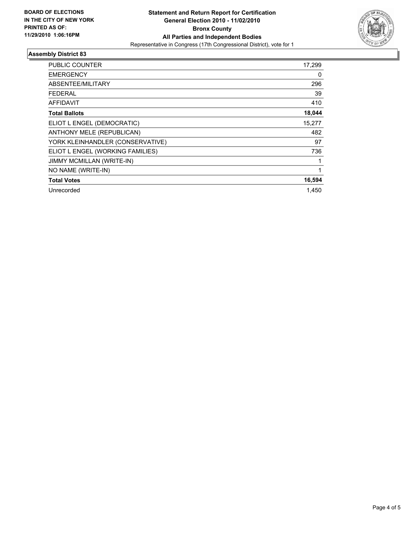

### **Assembly District 83**

| <b>PUBLIC COUNTER</b>            | 17,299       |
|----------------------------------|--------------|
| <b>EMERGENCY</b>                 | 0            |
| ABSENTEE/MILITARY                | 296          |
| FEDERAL                          | 39           |
| <b>AFFIDAVIT</b>                 | 410          |
| <b>Total Ballots</b>             | 18,044       |
| ELIOT L ENGEL (DEMOCRATIC)       | 15,277       |
| ANTHONY MELE (REPUBLICAN)        | 482          |
| YORK KLEINHANDLER (CONSERVATIVE) | 97           |
| ELIOT L ENGEL (WORKING FAMILIES) | 736          |
| <b>JIMMY MCMILLAN (WRITE-IN)</b> | 1            |
| NO NAME (WRITE-IN)               | $\mathbf{1}$ |
| <b>Total Votes</b>               | 16,594       |
| Unrecorded                       | 1.450        |